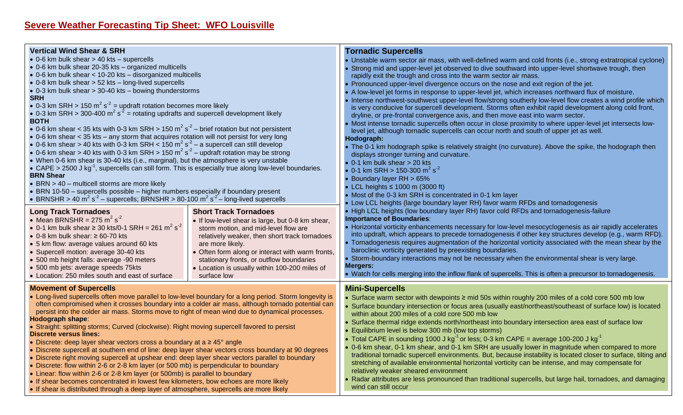| <b>Vertical Wind Shear &amp; SRH</b><br>• 0-6 km bulk shear > 40 kts - supercells<br>• 0-6 km bulk shear 20-35 kts - organized multicells<br>• 0-6 km bulk shear < 10-20 kts - disorganized multicells<br>• 0-8 km bulk shear > 52 kts - long-lived supercells<br>• 0-3 km bulk shear > 30-40 kts - bowing thunderstorms<br><b>SRH</b><br>• 0-3 km SRH > 150 m <sup>2</sup> s <sup>-2</sup> = updraft rotation becomes more likely<br>• 0-3 km SRH > 300-400 $m^2 s^2$ = rotating updrafts and supercell development likely<br><b>BOTH</b><br>• 0-6 km shear < 35 kts with 0-3 km SRH > 150 m <sup>2</sup> s <sup>-2</sup> – brief rotation but not persistent<br>• 0-6 km shear < 35 kts - any storm that acquires rotation will not persist for very long<br>• 0-6 km shear > 40 kts with 0-3 km SRH < 150 m <sup>2</sup> s <sup>2</sup> – a supercell can still develop<br>• 0-6 km shear > 40 kts with 0-3 km SRH > 150 m <sup>2</sup> s <sup>2</sup> – updraft rotation may be strong<br>• When 0-6 km shear is 30-40 kts (i.e., marginal), but the atmosphere is very unstable<br>• CAPE > 2500 J kg <sup>-1</sup> , supercells can still form. This is especially true along low-level boundaries.<br><b>BRN Shear</b><br>$\bullet$ BRN > 40 - multicell storms are more likely<br>• BRN 10-50 - supercells possible - higher numbers especially if boundary present<br>• BRNSHR > 40 m <sup>2</sup> s <sup>2</sup> – supercells; BRNSHR > 80-100 m <sup>2</sup> s <sup>2</sup> – long-lived supercells | <b>Tornadic Supercells</b><br>. Unstable warm sector air mass, with well-defined warm and cold fronts (i.e., strong extratropical cyclone)<br>Strong mid and upper-level jet observed to dive southward into upper-level shortwave trough, then<br>rapidly exit the trough and cross into the warm sector air mass.<br>• Pronounced upper-level divergence occurs on the nose and exit region of the jet.<br>• A low-level jet forms in response to upper-level jet, which increases northward flux of moisture.<br>• Intense northwest-southwest upper-level flow/strong southerly low-level flow creates a wind profile which<br>is very conducive for supercell development. Storms often exhibit rapid development along cold front,<br>dryline, or pre-frontal convergence axis, and then move east into warm sector.<br>• Most intense tornadic supercells often occur in close proximity to where upper-level jet intersects low-<br>level jet, although tornadic supercells can occur north and south of upper jet as well.<br>Hodograph:<br>• The 0-1 km hodograph spike is relatively straight (no curvature). Above the spike, the hodograph then<br>displays stronger turning and curvature.<br>$\bullet$ 0-1 km bulk shear $>$ 20 kts<br>• 0-1 km SRH > 150-300 m <sup>2</sup> s <sup>-2</sup><br>• Boundary layer RH > 65%<br>• LCL heights $\leq 1000$ m (3000 ft)<br>• Most of the 0-3 km SRH is concentrated in 0-1 km layer<br>• Low LCL heights (large boundary layer RH) favor warm RFDs and tornadogenesis |  |
|----------------------------------------------------------------------------------------------------------------------------------------------------------------------------------------------------------------------------------------------------------------------------------------------------------------------------------------------------------------------------------------------------------------------------------------------------------------------------------------------------------------------------------------------------------------------------------------------------------------------------------------------------------------------------------------------------------------------------------------------------------------------------------------------------------------------------------------------------------------------------------------------------------------------------------------------------------------------------------------------------------------------------------------------------------------------------------------------------------------------------------------------------------------------------------------------------------------------------------------------------------------------------------------------------------------------------------------------------------------------------------------------------------------------------------------------------------------------------------------------------------------|---------------------------------------------------------------------------------------------------------------------------------------------------------------------------------------------------------------------------------------------------------------------------------------------------------------------------------------------------------------------------------------------------------------------------------------------------------------------------------------------------------------------------------------------------------------------------------------------------------------------------------------------------------------------------------------------------------------------------------------------------------------------------------------------------------------------------------------------------------------------------------------------------------------------------------------------------------------------------------------------------------------------------------------------------------------------------------------------------------------------------------------------------------------------------------------------------------------------------------------------------------------------------------------------------------------------------------------------------------------------------------------------------------------------------------------------------------------------------------------------------------------------------------|--|
| <b>Short Track Tornadoes</b><br><b>Long Track Tornadoes</b><br>• Mean BRNSHR = $275 \text{ m}^2 \text{ s}^{-2}$<br>• If low-level shear is large, but 0-8 km shear,<br>• 0-1 km bulk shear $\geq$ 30 kts/0-1 SRH = 261 m <sup>2</sup> s <sup>-2</sup><br>storm motion, and mid-level flow are<br>$\bullet$ 0-8 km bulk shear: $\geq 60$ -70 kts<br>relatively weaker, then short track tornadoes<br>are more likely.<br>• 5 km flow: average values around 60 kts<br>• Supercell motion: average 30-40 kts<br>• Often form along or interact with warm fronts,<br>• 500 mb height falls: average -90 meters<br>stationary fronts, or outflow boundaries<br>• 500 mb jets: average speeds 75kts<br>• Location is usually within 100-200 miles of<br>• Location: 250 miles south and east of surface<br>surface low                                                                                                                                                                                                                                                                                                                                                                                                                                                                                                                                                                                                                                                                                              | • High LCL heights (low boundary layer RH) favor cold RFDs and tornadogenesis-failure<br><b>Importance of Boundaries:</b><br>• Horizontal vorticity enhancements necessary for low-level mesocyclogenesis as air rapidly accelerates<br>into updraft, which appears to precede tornadogenesis if other key structures develop (e.g., warm RFD).<br>• Tornadogenesis requires augmentation of the horizontal vorticity associated with the mean shear by the<br>baroclinic vorticity generated by preexisting boundaries.<br>. Storm-boundary interactions may not be necessary when the environmental shear is very large.<br><b>Mergers:</b><br>• Watch for cells merging into the inflow flank of supercells. This is often a precursor to tornadogenesis.                                                                                                                                                                                                                                                                                                                                                                                                                                                                                                                                                                                                                                                                                                                                                                    |  |
| <b>Movement of Supercells</b><br>• Long-lived supercells often move parallel to low-level boundary for a long period. Storm longevity is<br>often compromised when it crosses boundary into a colder air mass, although tornado potential can<br>persist into the colder air mass. Storms move to right of mean wind due to dynamical processes.<br><b>Hodograph shape:</b><br>• Straight: splitting storms; Curved (clockwise): Right moving supercell favored to persist<br><b>Discrete versus lines:</b><br>• Discrete: deep layer shear vectors cross a boundary at a $\geq 45^{\circ}$ angle<br>• Discrete supercell at southern end of line: deep layer shear vectors cross boundary at 90 degrees<br>• Discrete right moving supercell at upshear end: deep layer shear vectors parallel to boundary<br>• Discrete: flow within 2-6 or 2-8 km layer (or 500 mb) is perpendicular to boundary<br>• Linear: flow within 2-6 or 2-8 km layer (or 500mb) is parallel to boundary<br>• If shear becomes concentrated in lowest few kilometers, bow echoes are more likely<br>• If shear is distributed through a deep layer of atmosphere, supercells are more likely                                                                                                                                                                                                                                                                                                                                        | <b>Mini-Supercells</b><br>• Surface warm sector with dewpoints $\geq$ mid 50s within roughly 200 miles of a cold core 500 mb low<br>• Surface boundary intersection or focus area (usually east/northeast/southeast of surface low) is located<br>within about 200 miles of a cold core 500 mb low<br>• Surface thermal ridge extends north/northeast into boundary intersection area east of surface low<br>• Equilibrium level is below 300 mb (low top storms)<br>• Total CAPE in sounding 1000 J kg <sup>-1</sup> or less; 0-3 km CAPE = average 100-200 J kg <sup>-1</sup><br>0-6 km shear, 0-1 km shear, and 0-1 km SRH are usually lower in magnitude when compared to more<br>traditional tornadic supercell environments. But, because instability is located closer to surface, tilting and<br>stretching of available environmental horizontal vorticity can be intense, and may compensate for<br>relatively weaker sheared environment<br>Radar attributes are less pronounced than traditional supercells, but large hail, tornadoes, and damaging<br>wind can still occur                                                                                                                                                                                                                                                                                                                                                                                                                                        |  |